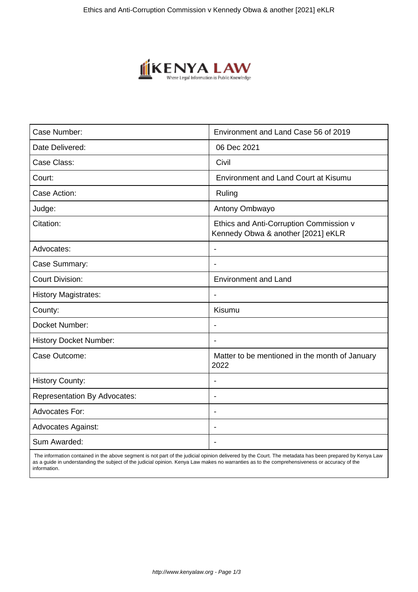

| Case Number:                        | Environment and Land Case 56 of 2019                                          |
|-------------------------------------|-------------------------------------------------------------------------------|
| Date Delivered:                     | 06 Dec 2021                                                                   |
| Case Class:                         | Civil                                                                         |
| Court:                              | <b>Environment and Land Court at Kisumu</b>                                   |
| Case Action:                        | Ruling                                                                        |
| Judge:                              | Antony Ombwayo                                                                |
| Citation:                           | Ethics and Anti-Corruption Commission v<br>Kennedy Obwa & another [2021] eKLR |
| Advocates:                          | $\overline{\phantom{a}}$                                                      |
| Case Summary:                       | $\overline{\phantom{a}}$                                                      |
| <b>Court Division:</b>              | <b>Environment and Land</b>                                                   |
| <b>History Magistrates:</b>         |                                                                               |
| County:                             | Kisumu                                                                        |
| Docket Number:                      | $\blacksquare$                                                                |
| <b>History Docket Number:</b>       | $\blacksquare$                                                                |
| Case Outcome:                       | Matter to be mentioned in the month of January<br>2022                        |
| <b>History County:</b>              | $\overline{\phantom{a}}$                                                      |
| <b>Representation By Advocates:</b> | $\overline{\phantom{a}}$                                                      |
| <b>Advocates For:</b>               | $\blacksquare$                                                                |
| <b>Advocates Against:</b>           |                                                                               |
| Sum Awarded:                        | $\blacksquare$                                                                |

 The information contained in the above segment is not part of the judicial opinion delivered by the Court. The metadata has been prepared by Kenya Law as a guide in understanding the subject of the judicial opinion. Kenya Law makes no warranties as to the comprehensiveness or accuracy of the information.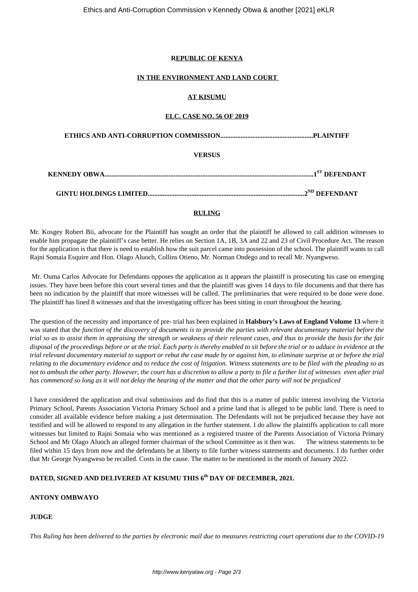## **REPUBLIC OF KENYA**

#### **IN THE ENVIRONMENT AND LAND COURT**

## **AT KISUMU**

#### **ELC. CASE NO. 56 OF 2019**

**ETHICS AND ANTI-CORRUPTION COMMISSION.......................................................PLAINTIFF**

## **VERSUS**

| $\overline{ }$ |
|----------------|

**GINTU HOLDINGS LIMITED.............................................................................................2ND DEFENDANT**

# **RULING**

Mr. Kosgey Robert Bii, advocate for the Plaintiff has sought an order that the plaintiff be allowed to call addition witnesses to enable him propagate the plaintiff's case better. He relies on Section 1A, 1B, 3A and 22 and 23 of Civil Procedure Act. The reason for the application is that there is need to establish how the suit parcel came into possession of the school. The plaintiff wants to call Rajni Somaia Esquire and Hon. Olago Aluoch, Collins Otieno, Mr. Norman Ondego and to recall Mr. Nyangweso.

Mr. Ouma Carlos Advocate for Defendants opposes the application as it appears the plaintiff is prosecuting his case on emerging issues. They have been before this court several times and that the plaintiff was given 14 days to file documents and that there has been no indication by the plaintiff that more witnesses will be called. The preliminaries that were required to be done were done. The plaintiff has lined 8 witnesses and that the investigating officer has been sitting in court throughout the hearing.

The question of the necessity and importance of pre- trial has been explained in **Halsbury's Laws of England Volume 13** where it was stated that th*e function of the discovery of documents is to provide the parties with relevant documentary material before the trial so as to assist them in appraising the strength or weakness of their relevant cases, and thus to provide the basis for the fair disposal of the proceedings before or at the trial. Each party is thereby enabled to sit before the trial or to adduce in evidence at the trial relevant documentary material to support or rebut the case made by or against him, to eliminate surprise at or before the trial relating to the documentary evidence and to reduce the cost of litigation. Witness statements are to be filed with the pleading so as not to ambush the other party. However, the court has a discretion to allow a party to file a further list of witnesses even after trial has commenced so long as it will not delay the hearing of the matter and that the other party will not be prejudiced*

I have considered the application and rival submissions and do find that this is a matter of public interest involving the Victoria Primary School, Parents Association Victoria Primary School and a prime land that is alleged to be public land. There is need to consider all available evidence before making a just determination. The Defendants will not be prejudiced because they have not testified and will be allowed to respond to any allegation in the further statement. I do allow the plaintiffs application to call more witnesses but limited to Rajni Somaia who was mentioned as a registered trustee of the Parents Association of Victoria Primary School and Mr Olago Aluoch an alleged former chairman of the school Committee as it then was. The witness statements to be filed within 15 days from now and the defendants be at liberty to file further witness statements and documents. I do further order that Mr George Nyangweso be recalled. Costs in the cause. The matter to be mentioned in the month of January 2022.

# **DATED, SIGNED AND DELIVERED AT KISUMU THIS 6th DAY OF DECEMBER, 2021.**

# **ANTONY OMBWAYO**

# **JUDGE**

*This Ruling has been delivered to the parties by electronic mail due to measures restricting court operations due to the COVID-19*